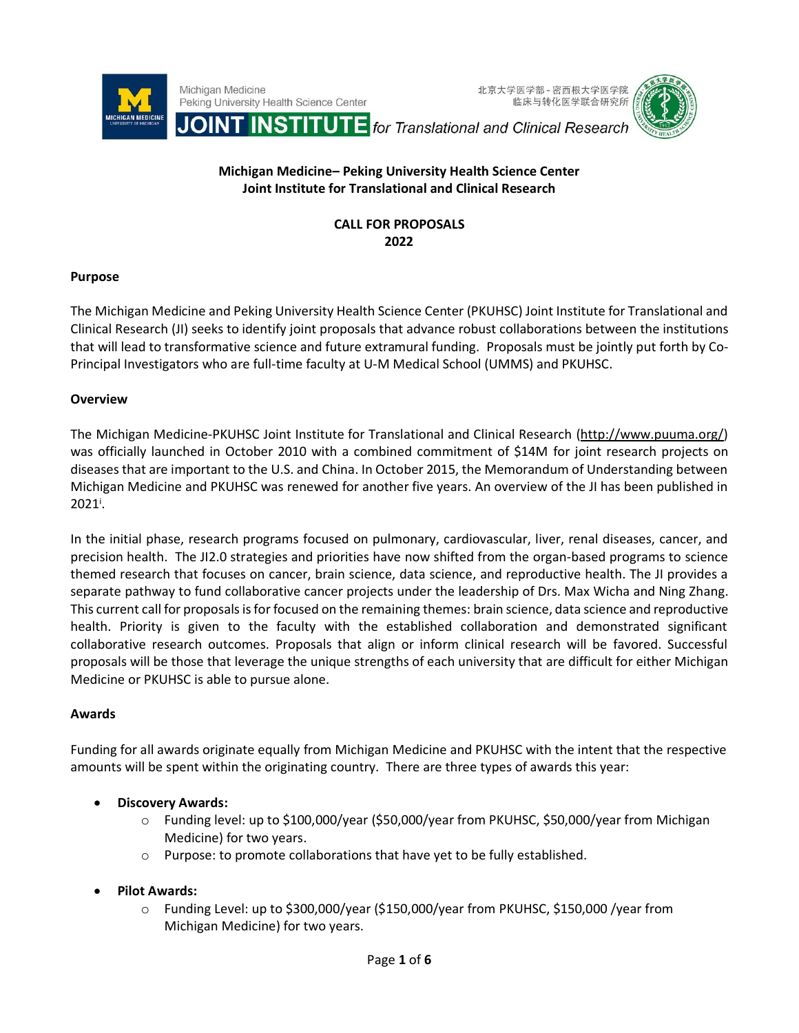





# **Michigan Medicine– Peking University Health Science Center Joint Institute for Translational and Clinical Research**

## **CALL FOR PROPOSALS 2022**

### **Purpose**

The Michigan Medicine and Peking University Health Science Center (PKUHSC) Joint Institute for Translational and Clinical Research (JI) seeks to identify joint proposals that advance robust collaborations between the institutions that will lead to transformative science and future extramural funding. Proposals must be jointly put forth by Co-Principal Investigators who are full-time faculty at U-M Medical School (UMMS) and PKUHSC.

### **Overview**

The Michigan Medicine-PKUHSC Joint Institute for Translational and Clinical Research [\(http://www.puuma.org/\)](http://www.puuma.org/) was officially launched in October 2010 with a combined commitment of \$14M for joint research projects on diseases that are important to the U.S. and China. In October 2015, the Memorandum of Understanding between Michigan Medicine and PKUHSC was renewed for another five years. An overview of the JI has been published in  $2021^{\dagger}$ .

In the initial phase, research programs focused on pulmonary, cardiovascular, liver, renal diseases, cancer, and precision health. The JI2.0 strategies and priorities have now shifted from the organ-based programs to science themed research that focuses on cancer, brain science, data science, and reproductive health. The JI provides a separate pathway to fund collaborative cancer projects under the leadership of Drs. Max Wicha and Ning Zhang. This current call for proposals is for focused on the remaining themes: brain science, data science and reproductive health. Priority is given to the faculty with the established collaboration and demonstrated significant collaborative research outcomes. Proposals that align or inform clinical research will be favored. Successful proposals will be those that leverage the unique strengths of each university that are difficult for either Michigan Medicine or PKUHSC is able to pursue alone.

## **Awards**

Funding for all awards originate equally from Michigan Medicine and PKUHSC with the intent that the respective amounts will be spent within the originating country. There are three types of awards this year:

## • **Discovery Awards:**

- o Funding level: up to \$100,000/year (\$50,000/year from PKUHSC, \$50,000/year from Michigan Medicine) for two years.
- o Purpose: to promote collaborations that have yet to be fully established.
- **Pilot Awards:** 
	- o Funding Level: up to \$300,000/year (\$150,000/year from PKUHSC, \$150,000 /year from Michigan Medicine) for two years.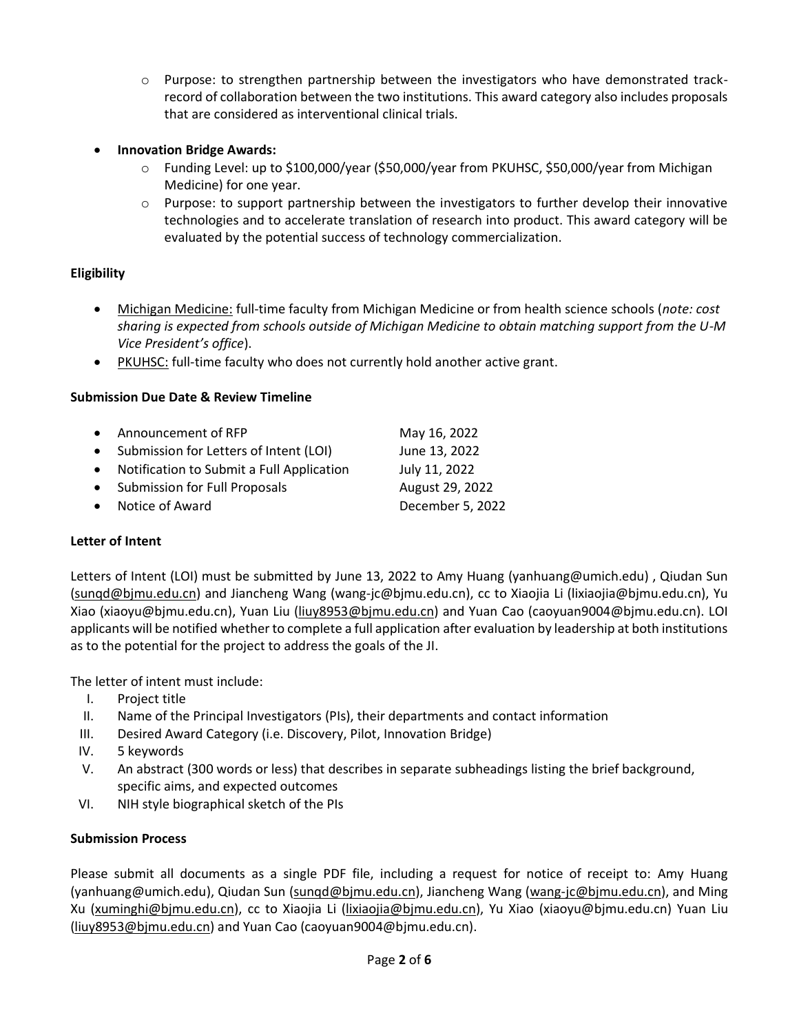- o Purpose: to strengthen partnership between the investigators who have demonstrated trackrecord of collaboration between the two institutions. This award category also includes proposals that are considered as interventional clinical trials.
- **Innovation Bridge Awards:**
	- o Funding Level: up to \$100,000/year (\$50,000/year from PKUHSC, \$50,000/year from Michigan Medicine) for one year.
	- $\circ$  Purpose: to support partnership between the investigators to further develop their innovative technologies and to accelerate translation of research into product. This award category will be evaluated by the potential success of technology commercialization.

## **Eligibility**

- Michigan Medicine: full-time faculty from Michigan Medicine or from health science schools (*note: cost sharing is expected from schools outside of Michigan Medicine to obtain matching support from the U-M Vice President's office*).
- PKUHSC: full-time faculty who does not currently hold another active grant.

## **Submission Due Date & Review Timeline**

| • Announcement of RFP                       | May 16, 2022     |
|---------------------------------------------|------------------|
| • Submission for Letters of Intent (LOI)    | June 13, 2022    |
| • Notification to Submit a Full Application | July 11, 2022    |
| • Submission for Full Proposals             | August 29, 2022  |
| • Notice of Award                           | December 5, 2022 |
|                                             |                  |

## **Letter of Intent**

Letters of Intent (LOI) must be submitted by June 13, 2022 to Amy Huang [\(yanhuang@umich.edu\)](mailto:yanhuang@umich.edu) , Qiudan Sun [\(sunqd@bjmu.edu.cn\)](mailto:sunqd@bjmu.edu.cn) and Jiancheng Wang (wang-jc@bjmu.edu.cn), cc to Xiaojia Li (lixiaojia@bjmu.edu.cn), Yu Xiao (xiaoyu@bjmu.edu.cn), Yuan Liu [\(liuy8953@bjmu.edu.cn\)](mailto:liuy8953@bjmu.edu.cn) and Yuan Cao (caoyuan9004@bjmu.edu.cn). LOI applicants will be notified whether to complete a full application after evaluation by leadership at both institutions as to the potential for the project to address the goals of the JI.

The letter of intent must include:

- I. Project title
- II. Name of the Principal Investigators (PIs), their departments and contact information
- III. Desired Award Category (i.e. Discovery, Pilot, Innovation Bridge)
- IV. 5 keywords
- V. An abstract (300 words or less) that describes in separate subheadings listing the brief background, specific aims, and expected outcomes
- VI. NIH style biographical sketch of the PIs

## **Submission Process**

Please submit all documents as a single PDF file, including a request for notice of receipt to: Amy Huang [\(yanhuang@umich.edu\)](mailto:yanhuang@umich.edu), Qiudan Sun [\(sunqd@bjmu.edu.cn\)](mailto:sunqd@bjmu.edu.cn), Jiancheng Wang [\(wang-jc@bjmu.edu.cn\)](mailto:wang-jc@bjmu.edu.cn), and Ming Xu [\(xuminghi@bjmu.edu.cn\)](mailto:xuminghi@bjmu.edu.cn), cc to Xiaojia Li [\(lixiaojia@bjmu.edu.cn\)](mailto:lixiaojia@bjmu.edu.cn), Yu Xiao (xiaoyu@bjmu.edu.cn) Yuan Liu [\(liuy8953@bjmu.edu.cn\)](mailto:liuy8953@bjmu.edu.cn) and Yuan Cao (caoyuan9004@bjmu.edu.cn).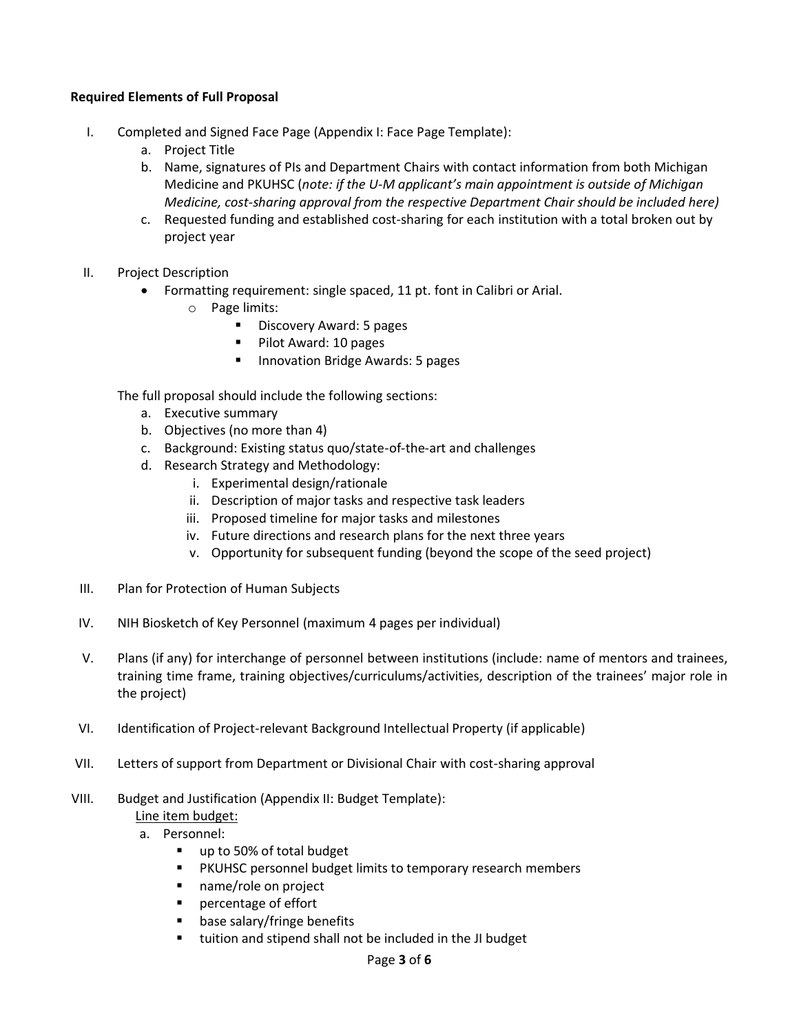### **Required Elements of Full Proposal**

- I. Completed and Signed Face Page (Appendix I: Face Page Template):
	- a. Project Title
	- b. Name, signatures of PIs and Department Chairs with contact information from both Michigan Medicine and PKUHSC (*note: if the U-M applicant's main appointment is outside of Michigan Medicine, cost-sharing approval from the respective Department Chair should be included here)*
	- c. Requested funding and established cost-sharing for each institution with a total broken out by project year
- II. Project Description
	- Formatting requirement: single spaced, 11 pt. font in Calibri or Arial.
		- o Page limits:
			- Discovery Award: 5 pages
			- Pilot Award: 10 pages
			- Innovation Bridge Awards: 5 pages

The full proposal should include the following sections:

- a. Executive summary
- b. Objectives (no more than 4)
- c. Background: Existing status quo/state-of-the-art and challenges
- d. Research Strategy and Methodology:
	- i. Experimental design/rationale
	- ii. Description of major tasks and respective task leaders
	- iii. Proposed timeline for major tasks and milestones
	- iv. Future directions and research plans for the next three years
	- v. Opportunity for subsequent funding (beyond the scope of the seed project)
- III. Plan for Protection of Human Subjects
- IV. NIH Biosketch of Key Personnel (maximum 4 pages per individual)
- V. Plans (if any) for interchange of personnel between institutions (include: name of mentors and trainees, training time frame, training objectives/curriculums/activities, description of the trainees' major role in the project)
- VI. Identification of Project-relevant Background Intellectual Property (if applicable)
- VII. Letters of support from Department or Divisional Chair with cost-sharing approval
- VIII. Budget and Justification (Appendix II: Budget Template):
	- Line item budget:
	- a. Personnel:
		- up to 50% of total budget
		- PKUHSC personnel budget limits to temporary research members
		- name/role on project
		- percentage of effort
		- base salary/fringe benefits
		- tuition and stipend shall not be included in the JI budget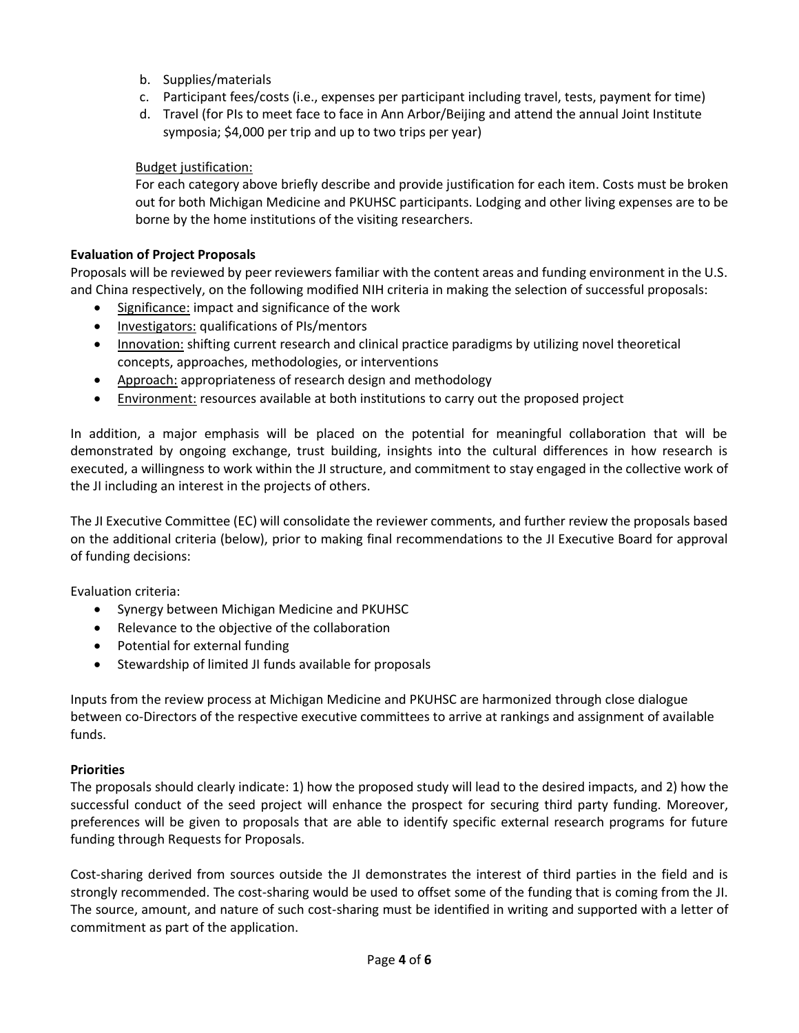- b. Supplies/materials
- c. Participant fees/costs (i.e., expenses per participant including travel, tests, payment for time)
- d. Travel (for PIs to meet face to face in Ann Arbor/Beijing and attend the annual Joint Institute symposia; \$4,000 per trip and up to two trips per year)

## Budget justification:

For each category above briefly describe and provide justification for each item. Costs must be broken out for both Michigan Medicine and PKUHSC participants. Lodging and other living expenses are to be borne by the home institutions of the visiting researchers.

### **Evaluation of Project Proposals**

Proposals will be reviewed by peer reviewers familiar with the content areas and funding environment in the U.S. and China respectively, on the following modified NIH criteria in making the selection of successful proposals:

- Significance: impact and significance of the work
- Investigators: qualifications of PIs/mentors
- Innovation: shifting current research and clinical practice paradigms by utilizing novel theoretical concepts, approaches, methodologies, or interventions
- Approach: appropriateness of research design and methodology
- Environment: resources available at both institutions to carry out the proposed project

In addition, a major emphasis will be placed on the potential for meaningful collaboration that will be demonstrated by ongoing exchange, trust building, insights into the cultural differences in how research is executed, a willingness to work within the JI structure, and commitment to stay engaged in the collective work of the JI including an interest in the projects of others.

The JI Executive Committee (EC) will consolidate the reviewer comments, and further review the proposals based on the additional criteria (below), prior to making final recommendations to the JI Executive Board for approval of funding decisions:

Evaluation criteria:

- Synergy between Michigan Medicine and PKUHSC
- Relevance to the objective of the collaboration
- Potential for external funding
- Stewardship of limited JI funds available for proposals

Inputs from the review process at Michigan Medicine and PKUHSC are harmonized through close dialogue between co-Directors of the respective executive committees to arrive at rankings and assignment of available funds.

#### **Priorities**

The proposals should clearly indicate: 1) how the proposed study will lead to the desired impacts, and 2) how the successful conduct of the seed project will enhance the prospect for securing third party funding. Moreover, preferences will be given to proposals that are able to identify specific external research programs for future funding through Requests for Proposals.

Cost-sharing derived from sources outside the JI demonstrates the interest of third parties in the field and is strongly recommended. The cost-sharing would be used to offset some of the funding that is coming from the JI. The source, amount, and nature of such cost-sharing must be identified in writing and supported with a letter of commitment as part of the application.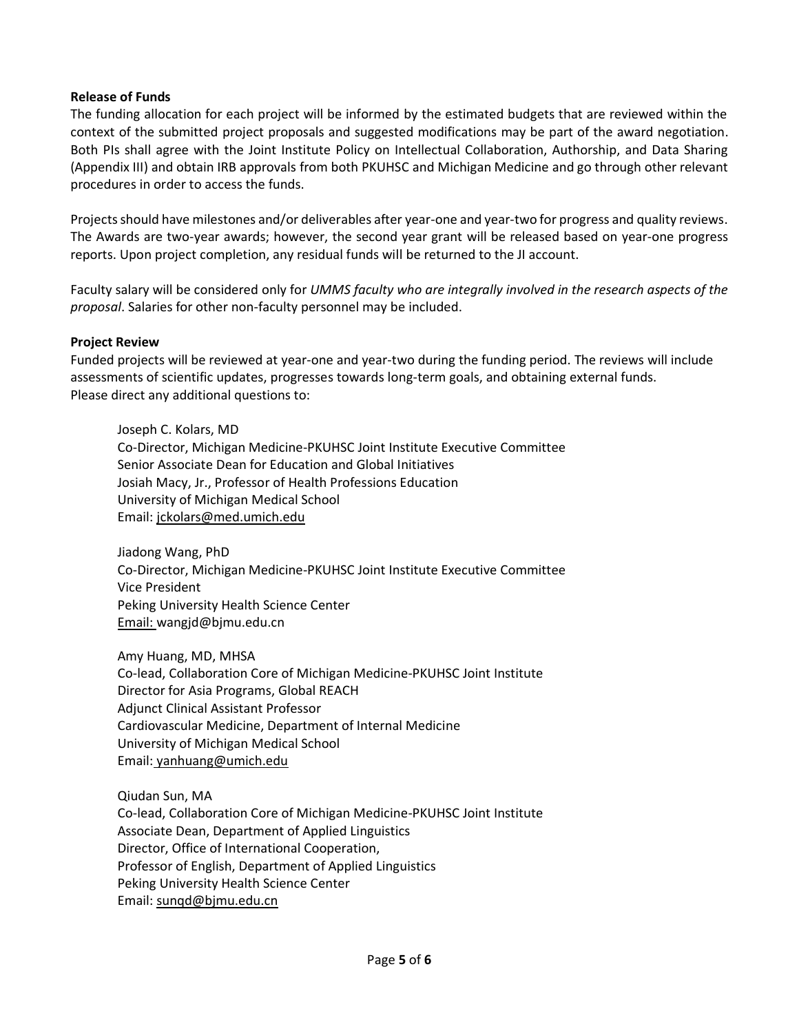#### **Release of Funds**

The funding allocation for each project will be informed by the estimated budgets that are reviewed within the context of the submitted project proposals and suggested modifications may be part of the award negotiation. Both PIs shall agree with the Joint Institute Policy on Intellectual Collaboration, Authorship, and Data Sharing (Appendix III) and obtain IRB approvals from both PKUHSC and Michigan Medicine and go through other relevant procedures in order to access the funds.

Projects should have milestones and/or deliverables after year-one and year-two for progress and quality reviews. The Awards are two-year awards; however, the second year grant will be released based on year-one progress reports. Upon project completion, any residual funds will be returned to the JI account.

Faculty salary will be considered only for *UMMS faculty who are integrally involved in the research aspects of the proposal*. Salaries for other non-faculty personnel may be included.

#### **Project Review**

Funded projects will be reviewed at year-one and year-two during the funding period. The reviews will include assessments of scientific updates, progresses towards long-term goals, and obtaining external funds. Please direct any additional questions to:

Joseph C. Kolars, MD Co-Director, Michigan Medicine-PKUHSC Joint Institute Executive Committee Senior Associate Dean for Education and Global Initiatives Josiah Macy, Jr., Professor of Health Professions Education University of Michigan Medical School Email: [jckolars@med.umich.edu](mailto:jckolars@med.umich.edu)

Jiadong Wang, PhD Co-Director, Michigan Medicine-PKUHSC Joint Institute Executive Committee Vice President Peking University Health Science Center Email: wangjd@bjmu.edu.cn

Amy Huang, MD, MHSA Co-lead, Collaboration Core of Michigan Medicine-PKUHSC Joint Institute Director for Asia Programs, Global REACH Adjunct Clinical Assistant Professor Cardiovascular Medicine, Department of Internal Medicine University of Michigan Medical School Email: [yanhuang@umich.edu](mailto:yanhuang@umich.edu)

Qiudan Sun, MA Co-lead, Collaboration Core of Michigan Medicine-PKUHSC Joint Institute Associate Dean, Department of Applied Linguistics Director, Office of International Cooperation, Professor of English, Department of Applied Linguistics Peking University Health Science Center Email: [sunqd@bjmu.edu.cn](mailto:sunqd@bjmu.edu.cn)